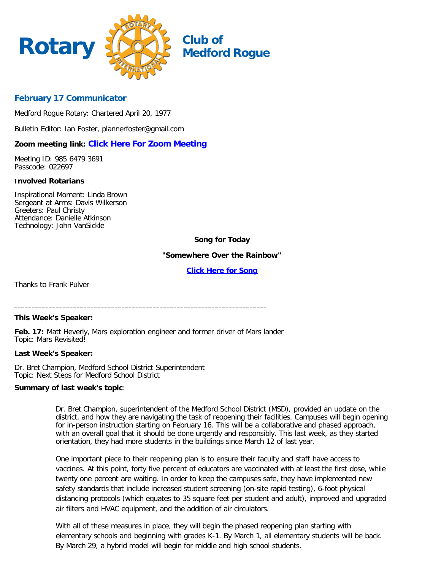

# **Medford Rogue**

## **February 17 Communicator**

Medford Rogue Rotary: Chartered April 20, 1977

Bulletin Editor: Ian Foster, plannerfoster@gmail.com

## **Zoom meeting link: [Click Here For Zoom Meeting](https://zoom.us/j/98564793691?pwd=K0NMbXN2cGlGbXJaZlhVTlZnTjJxZz09)**

Meeting ID: 985 6479 3691 Passcode: 022697

#### **Involved Rotarians**

Inspirational Moment: Linda Brown Sergeant at Arms: Davis Wilkerson Greeters: Paul Christy Attendance: Danielle Atkinson Technology: John VanSickle

## **Song for Today**

**"Somewhere Over the Rainbow"**

**[Click Here for Song](https://www.youtube.com/watch?v=fahr069-fzE&feature=youtu.be)**

Thanks to Frank Pulver

#### **This Week's Speaker:**

**Feb. 17:** Matt Heverly, Mars exploration engineer and former driver of Mars lander Topic: Mars Revisited!

**\_\_\_\_\_\_\_\_\_\_\_\_\_\_\_\_\_\_\_\_\_\_\_\_\_\_\_\_\_\_\_\_\_\_\_\_\_\_\_\_\_\_\_\_\_\_\_\_\_\_\_\_\_\_\_\_\_\_\_\_\_\_\_\_\_\_\_\_\_\_\_\_\_**

#### **Last Week's Speaker:**

Dr. Bret Champion, Medford School District Superintendent Topic: Next Steps for Medford School District

#### **Summary of last week's topic**:

Dr. Bret Champion, superintendent of the Medford School District (MSD), provided an update on the district, and how they are navigating the task of reopening their facilities. Campuses will begin opening for in-person instruction starting on February 16. This will be a collaborative and phased approach, with an overall goal that it should be done urgently and responsibly. This last week, as they started orientation, they had more students in the buildings since March 12 of last year.

One important piece to their reopening plan is to ensure their faculty and staff have access to vaccines. At this point, forty five percent of educators are vaccinated with at least the first dose, while twenty one percent are waiting. In order to keep the campuses safe, they have implemented new safety standards that include increased student screening (on-site rapid testing), 6-foot physical distancing protocols (which equates to 35 square feet per student and adult), improved and upgraded air filters and HVAC equipment, and the addition of air circulators.

With all of these measures in place, they will begin the phased reopening plan starting with elementary schools and beginning with grades K-1. By March 1, all elementary students will be back. By March 29, a hybrid model will begin for middle and high school students.